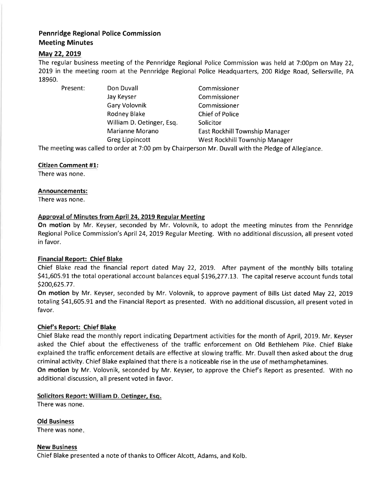# Pennridge Regional Police Commission Meeting Minutes

# May 22, 2019

The regular business meeting of the Pennridge Regional Police Commission was held at 7:00pm on May 22, 20L9 in the meeting room at the Pennridge Regional Police Headquarters,2OO Ridge Road, Sellersville, PA 18960.

Jay Keyser Commissioner Gary Volovnik Commissioner Rodney Blake Chief of Police William D. Oetinger, Esq. Solicitor

Present: Don Duvall **Commissioner** Marianne Morano **East Rockhill Township Manager** Greg Lippincott West Rockhill Township Manager

The meeting was called to order at 7:00 pm by Chairperson Mr. Duvall with the Pledge of Allegiance.

## Citizen Comment #1:

There was none.

## Announcements:

There was none.

## Approval of Minutes from April 24. 2019 Regular Meeting

On motion by Mr. Keyser, seconded by Mr. Volovnik, to adopt the meeting minutes from the Pennridge Regional Police Commission's April 24,2OI9 Regular Meeting. With no additional discussion, all present voted in favor.

## Financial Report: Chief Blake

Chief Blake read the financial report dated May 22, 2019. After payment of the monthly bills totaling \$41,605.91 the total operational account balances equal \$196,277.13. The capital reserve account funds total 5200,625.77.

On motion by Mr. Keyser, seconded by Mr. Volovnik, to approve payment of Bills List dated May 22, 2019 totaling 541,605.91 and the Financial Report as presented. With no additional discussion, all present voted in favor.

## Chief's Report: Chief Blake

Chief Blake read the monthly report indicating Department activities for the month of April, 2019. Mr. Keyser asked the Chief about the effectiveness of the traffic enforcement on Old Bethlehem Pike. Chief Blake explained the traffic enforcement details are effective at slowing traffic. Mr. Duvall then asked about the drug criminal activity. Chief Blake explained that there is a noticeable rise in the use of methamphetamines.

On motion by Mr. Volovnik, seconded by Mr. Keyser, to approve the Chief's Report as presented. With no additional discussion, all present voted in favor.

## Solicitors Report: William D. Oetinger, Esq.

There was none.

Old Business There was none

New Business Chief Blake presented a note of thanks to Officer Alcott, Adams, and Kolb.